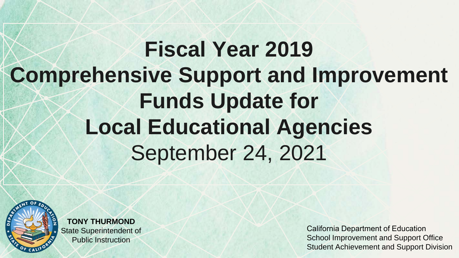## **Fiscal Year 2019 Comprehensive Support and Improvement Funds Update for Local Educational Agencies** September 24, 2021



**TONY THURMOND** State Superintendent of Public Instruction

California Department of Education School Improvement and Support Office Student Achievement and Support Division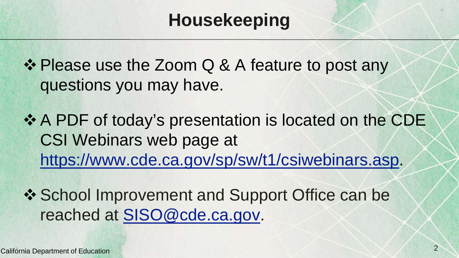#### **Housekeeping**

❖ Please use the Zoom Q & A feature to post any questions you may have.

❖ A PDF of today's presentation is located on the CDE CSI Webinars web page at <https://www.cde.ca.gov/sp/sw/t1/csiwebinars.asp>.

❖ School Improvement and Support Office can be reached at [SISO@cde.ca.gov](mailto:SISO@cde.ca.gov).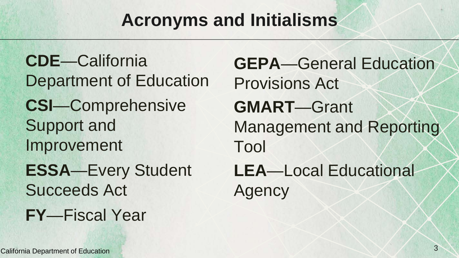#### **Acronyms and Initialisms**

**CDE**—California Department of Education **CSI**—Comprehensive Support and Improvement **ESSA**—Every Student Succeeds Act **FY**—Fiscal Year

**GEPA**—General Education Provisions Act **GMART**—Grant Management and Reporting Tool **LEA**—Local Educational Agency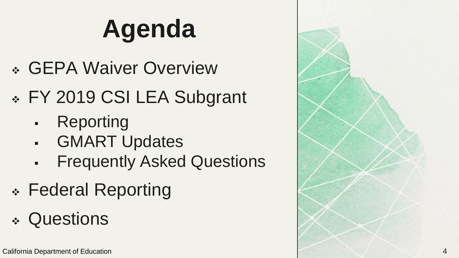# **Agenda**

- GEPA Waiver Overview
- \* FY 2019 CSI LEA Subgrant
	- Reporting
	- GMART Updates
	- Frequently Asked Questions
- Federal Reporting
- Questions

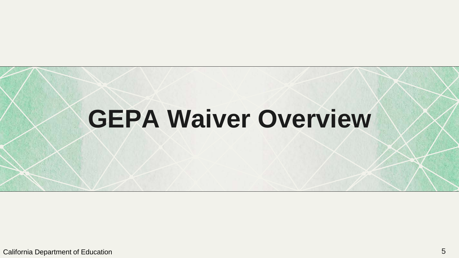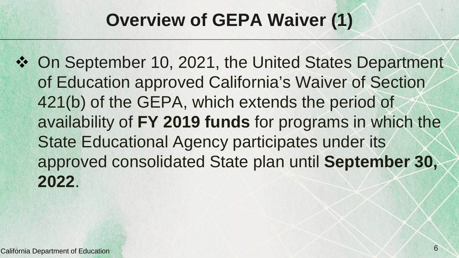#### **Overview of GEPA Waiver (1)**

 On September 10, 2021, the United States Department of Education approved California's Waiver of Section 421(b) of the GEPA, which extends the period of availability of **FY 2019 funds** for programs in which the State Educational Agency participates under its approved consolidated State plan until **September 30, 2022**.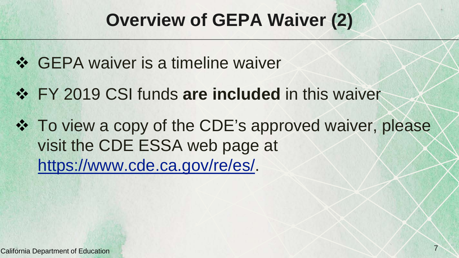#### **Overview of GEPA Waiver (2)**

- ❖ GEPA waiver is a timeline waiver
- $\div$  **FY 2019 CSI funds are included** in this waiver
- To view a copy of the CDE's approved waiver, please visit the CDE ESSA web page at [https://www.cde.ca.gov/re/es/.](https://www.cde.ca.gov/re/es/)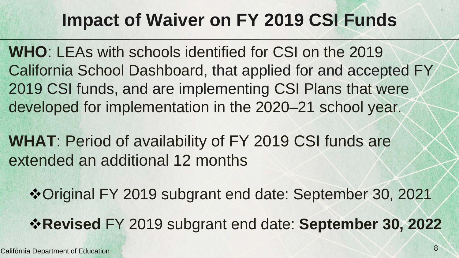#### **Impact of Waiver on FY 2019 CSI Funds**

**WHO**: LEAs with schools identified for CSI on the 2019 California School Dashboard, that applied for and accepted FY 2019 CSI funds, and are implementing CSI Plans that were developed for implementation in the 2020–21 school year.

**WHAT**: Period of availability of FY 2019 CSI funds are extended an additional 12 months

Original FY 2019 subgrant end date: September 30, 2021

**Revised** FY 2019 subgrant end date: **September 30, 2022**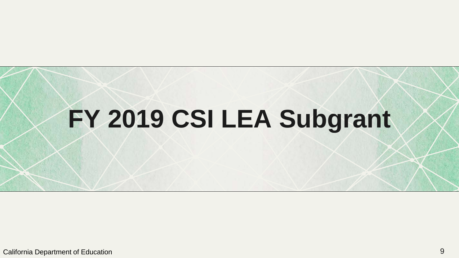# **FY 2019 CSI LEA Subgrant**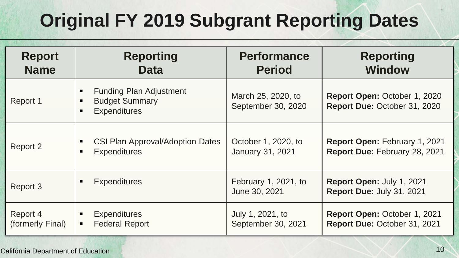## **Original FY 2019 Subgrant Reporting Dates**

| <b>Report</b><br><b>Name</b> | <b>Reporting</b><br><b>Data</b>                                                | <b>Performance</b><br><b>Period</b>      | <b>Reporting</b><br><b>Window</b>                              |
|------------------------------|--------------------------------------------------------------------------------|------------------------------------------|----------------------------------------------------------------|
| Report 1                     | <b>Funding Plan Adjustment</b><br><b>Budget Summary</b><br><b>Expenditures</b> | March 25, 2020, to<br>September 30, 2020 | Report Open: October 1, 2020<br>Report Due: October 31, 2020   |
| Report 2                     | <b>CSI Plan Approval/Adoption Dates</b><br><b>Expenditures</b>                 | October 1, 2020, to<br>January 31, 2021  | Report Open: February 1, 2021<br>Report Due: February 28, 2021 |
| Report 3                     | <b>Expenditures</b>                                                            | February 1, 2021, to<br>June 30, 2021    | Report Open: July 1, 2021<br>Report Due: July 31, 2021         |
| Report 4<br>(formerly Final) | <b>Expenditures</b><br><b>Federal Report</b><br>$\blacksquare$                 | July 1, 2021, to<br>September 30, 2021   | Report Open: October 1, 2021<br>Report Due: October 31, 2021   |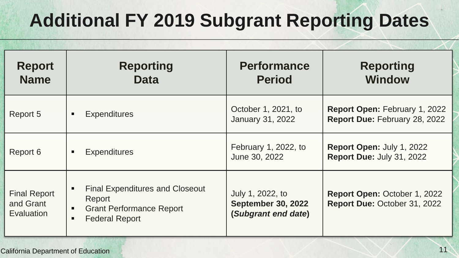## **Additional FY 2019 Subgrant Reporting Dates**

| <b>Report</b>                                  | <b>Reporting</b>                                                                                                                                      | <b>Performance</b>                                                   | <b>Reporting</b>                                             |
|------------------------------------------------|-------------------------------------------------------------------------------------------------------------------------------------------------------|----------------------------------------------------------------------|--------------------------------------------------------------|
| <b>Name</b>                                    | <b>Data</b>                                                                                                                                           | <b>Period</b>                                                        | <b>Window</b>                                                |
| Report 5                                       | <b>Expenditures</b>                                                                                                                                   | October 1, 2021, to                                                  | Report Open: February 1, 2022                                |
|                                                | ٠                                                                                                                                                     | January 31, 2022                                                     | Report Due: February 28, 2022                                |
| Report 6                                       | <b>Expenditures</b>                                                                                                                                   | February 1, 2022, to                                                 | Report Open: July 1, 2022                                    |
|                                                | $\blacksquare$                                                                                                                                        | June 30, 2022                                                        | Report Due: July 31, 2022                                    |
| <b>Final Report</b><br>and Grant<br>Evaluation | <b>Final Expenditures and Closeout</b><br>$\blacksquare$<br>Report<br><b>Grant Performance Report</b><br>$\blacksquare$<br><b>Federal Report</b><br>٠ | July 1, 2022, to<br><b>September 30, 2022</b><br>(Subgrant end date) | Report Open: October 1, 2022<br>Report Due: October 31, 2022 |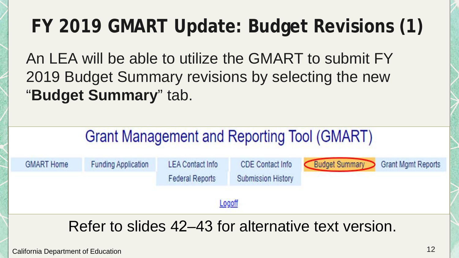#### **FY 2019 GMART Update: Budget Revisions (1)**

An LEA will be able to utilize the GMART to submit FY 2019 Budget Summary revisions by selecting the new "**Budget Summary**" tab.

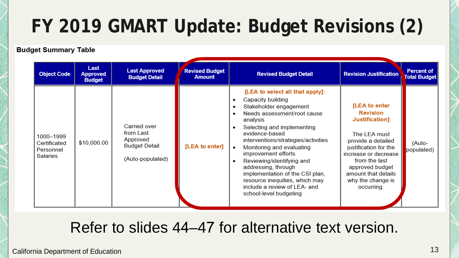#### **FY 2019 GMART Update: Budget Revisions (2)**

#### **Budget Summary Table**

| <b>Object Code</b>                                 | Last<br><b>Approved</b><br><b>Budget</b> | <b>Last Approved</b><br><b>Budget Detail</b>                                      | <b>Revised Budget</b><br><b>Amount</b> | <b>Revised Budget Detail</b>                                                                                                                                                                                                                                                                                                                                                                                                                            | <b>Revision Justification</b>                                                                                                                                                                                                           | Percent of<br><b>Total Budget</b> |
|----------------------------------------------------|------------------------------------------|-----------------------------------------------------------------------------------|----------------------------------------|---------------------------------------------------------------------------------------------------------------------------------------------------------------------------------------------------------------------------------------------------------------------------------------------------------------------------------------------------------------------------------------------------------------------------------------------------------|-----------------------------------------------------------------------------------------------------------------------------------------------------------------------------------------------------------------------------------------|-----------------------------------|
| 1000-1999<br>Certificated<br>Personnel<br>Salaries | \$10,000.00                              | Carried over<br>from Last<br>Approved<br><b>Budget Detail</b><br>(Auto-populated) | [LEA to enter]                         | [LEA to select all that apply]:<br>Capacity building<br>Stakeholder engagement<br>Needs assessment/root cause<br>analysis<br>Selecting and implementing<br>evidence-based<br>interventions/strategies/activities<br>Monitoring and evaluating<br>improvement efforts<br>Reviewing/identifying and<br>addressing, through<br>implementation of the CSI plan.<br>resource inequities, which may<br>include a review of LEA- and<br>school-level budgeting | [LEA to enter<br><b>Revision</b><br>Justification]<br>The LEA must<br>provide a detailed<br>justification for the<br>increase or decrease<br>from the last<br>approved budget<br>amount that details<br>why the change is<br>occurring. | (Auto-<br>populated)              |

#### Refer to slides 44–47 for alternative text version.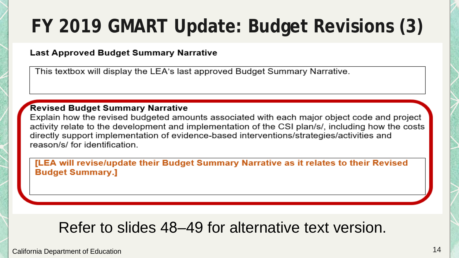#### **FY 2019 GMART Update: Budget Revisions (3)**

#### **Last Approved Budget Summary Narrative**

This textbox will display the LEA's last approved Budget Summary Narrative.

#### **Revised Budget Summary Narrative**

Explain how the revised budgeted amounts associated with each major object code and project activity relate to the development and implementation of the CSI plan/s/, including how the costs directly support implementation of evidence-based interventions/strategies/activities and reason/s/ for identification.

[LEA will revise/update their Budget Summary Narrative as it relates to their Revised **Budget Summary.]** 

#### Refer to slides 48–49 for alternative text version.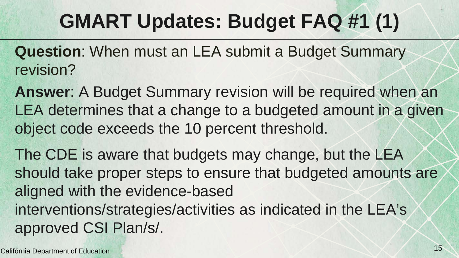## **GMART Updates: Budget FAQ #1 (1)**

- **Question**: When must an LEA submit a Budget Summary revision?
- **Answer**: A Budget Summary revision will be required when an LEA determines that a change to a budgeted amount in a given object code exceeds the 10 percent threshold.
- The CDE is aware that budgets may change, but the LEA should take proper steps to ensure that budgeted amounts are aligned with the evidence-based interventions/strategies/activities as indicated in the LEA's approved CSI Plan/s/.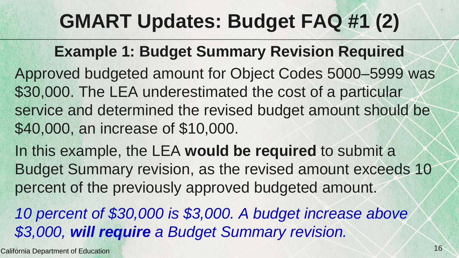## **GMART Updates: Budget FAQ #1 (2)**

#### **Example 1: Budget Summary Revision Required**

- Approved budgeted amount for Object Codes 5000–5999 was \$30,000. The LEA underestimated the cost of a particular service and determined the revised budget amount should be \$40,000, an increase of \$10,000.
- In this example, the LEA **would be required** to submit a Budget Summary revision, as the revised amount exceeds 10 percent of the previously approved budgeted amount.
- *10 percent of \$30,000 is \$3,000. A budget increase above \$3,000, will require a Budget Summary revision.*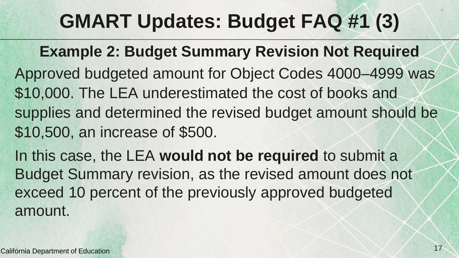## **GMART Updates: Budget FAQ #1 (3)**

**Example 2: Budget Summary Revision Not Required**

Approved budgeted amount for Object Codes 4000–4999 was \$10,000. The LEA underestimated the cost of books and supplies and determined the revised budget amount should be \$10,500, an increase of \$500.

In this case, the LEA **would not be required** to submit a Budget Summary revision, as the revised amount does not exceed 10 percent of the previously approved budgeted amount.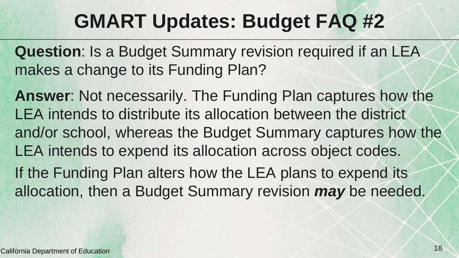#### **GMART Updates: Budget FAQ #2**

**Question**: Is a Budget Summary revision required if an LEA makes a change to its Funding Plan?

**Answer**: Not necessarily. The Funding Plan captures how the LEA intends to distribute its allocation between the district and/or school, whereas the Budget Summary captures how the LEA intends to expend its allocation across object codes. If the Funding Plan alters how the LEA plans to expend its

allocation, then a Budget Summary revision *may* be needed.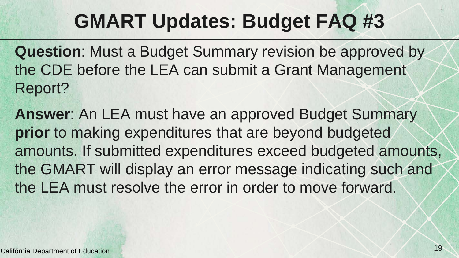#### **GMART Updates: Budget FAQ #3**

**Question**: Must a Budget Summary revision be approved by the CDE before the LEA can submit a Grant Management Report?

**Answer**: An LEA must have an approved Budget Summary **prior** to making expenditures that are beyond budgeted amounts. If submitted expenditures exceed budgeted amounts, the GMART will display an error message indicating such and the LEA must resolve the error in order to move forward.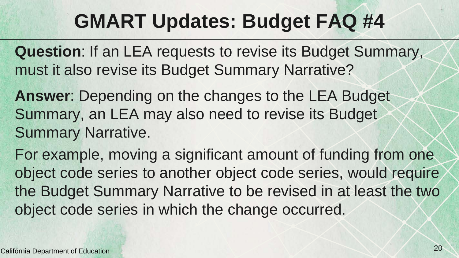#### **GMART Updates: Budget FAQ #4**

**Question**: If an LEA requests to revise its Budget Summary, must it also revise its Budget Summary Narrative?

**Answer**: Depending on the changes to the LEA Budget Summary, an LEA may also need to revise its Budget Summary Narrative.

For example, moving a significant amount of funding from one object code series to another object code series, would require the Budget Summary Narrative to be revised in at least the two object code series in which the change occurred.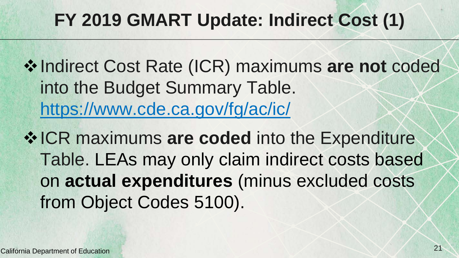#### **FY 2019 GMART Update: Indirect Cost (1)**

 $\diamond$  **Indirect Cost Rate (ICR) maximums are not coded** into the Budget Summary Table. <https://www.cde.ca.gov/fg/ac/ic/>

 $\diamond$  **ICR maximums are coded into the Expenditure** Table. LEAs may only claim indirect costs based on **actual expenditures** (minus excluded costs from Object Codes 5100).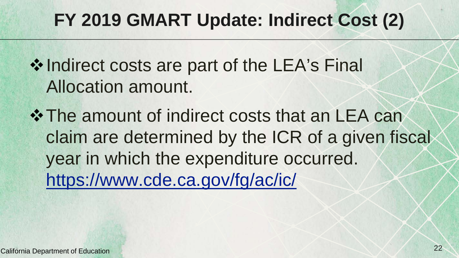#### **FY 2019 GMART Update: Indirect Cost (2)**

- ❖ Indirect costs are part of the LEA's Final Allocation amount.
- $\div$  **The amount of indirect costs that an LEA can** claim are determined by the ICR of a given fiscal year in which the expenditure occurred. <https://www.cde.ca.gov/fg/ac/ic/>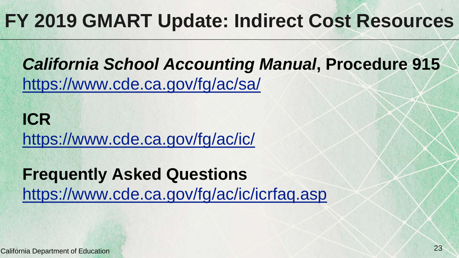#### **FY 2019 GMART Update: Indirect Cost Resources**

*California School Accounting Manual***, Procedure 915** <https://www.cde.ca.gov/fg/ac/sa/>

**ICR** <https://www.cde.ca.gov/fg/ac/ic/>

**Frequently Asked Questions** <https://www.cde.ca.gov/fg/ac/ic/icrfaq.asp>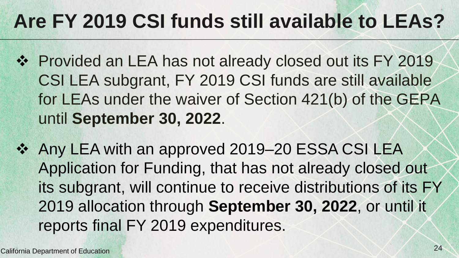## **Are FY 2019 CSI funds still available to LEAs?**

- ❖ Provided an LEA has not already closed out its FY 2019 CSI LEA subgrant, FY 2019 CSI funds are still available for LEAs under the waiver of Section 421(b) of the GEPA until **September 30, 2022**.
- Any LEA with an approved 2019–20 ESSA CSI LEA Application for Funding, that has not already closed out its subgrant, will continue to receive distributions of its FY 2019 allocation through **September 30, 2022**, or until it reports final FY 2019 expenditures.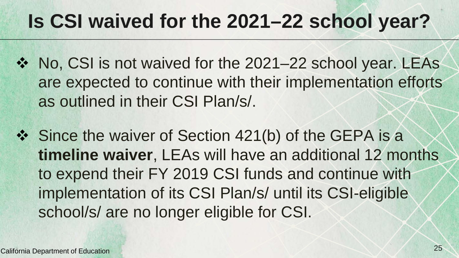## **Is CSI waived for the 2021–22 school year?**

- ❖ No, CSI is not waived for the 2021–22 school year. LEAs are expected to continue with their implementation efforts as outlined in their CSI Plan/s/.
- ❖ Since the waiver of Section 421(b) of the GEPA is a **timeline waiver**, LEAs will have an additional 12 months to expend their FY 2019 CSI funds and continue with implementation of its CSI Plan/s/ until its CSI-eligible school/s/ are no longer eligible for CSI.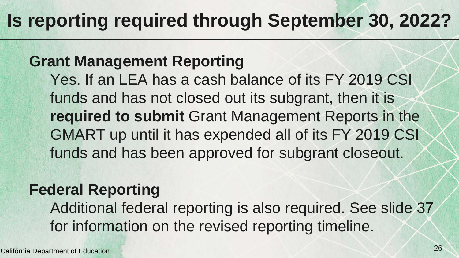#### **Is reporting required through September 30, 2022?**

#### **Grant Management Reporting**

Yes. If an LEA has a cash balance of its FY 2019 CSI funds and has not closed out its subgrant, then it is **required to submit** Grant Management Reports in the GMART up until it has expended all of its FY 2019 CSI funds and has been approved for subgrant closeout.

#### **Federal Reporting**

Additional federal reporting is also required. See slide 37 for information on the revised reporting timeline.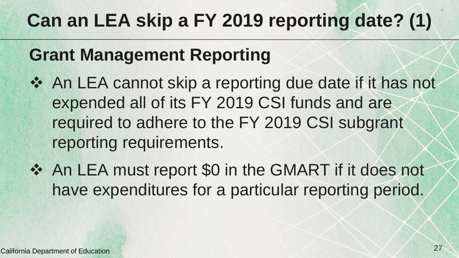#### **Can an LEA skip a FY 2019 reporting date? (1)**

#### **Grant Management Reporting**

- ❖ An LEA cannot skip a reporting due date if it has not expended all of its FY 2019 CSI funds and are required to adhere to the FY 2019 CSI subgrant reporting requirements.
- ◆ An LEA must report \$0 in the GMART if it does not have expenditures for a particular reporting period.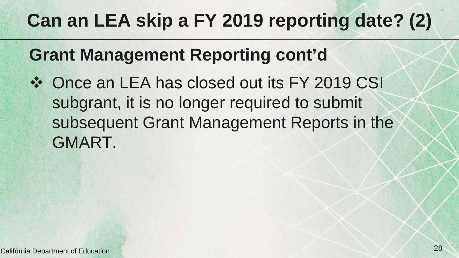#### **Can an LEA skip a FY 2019 reporting date? (2)**

#### **Grant Management Reporting cont'd**

❖ Once an LEA has closed out its FY 2019 CSI subgrant, it is no longer required to submit subsequent Grant Management Reports in the GMART.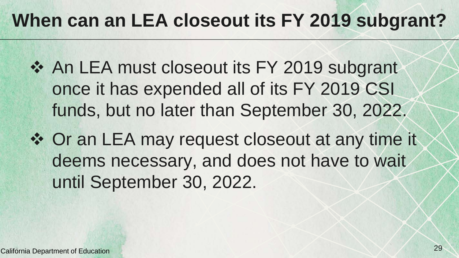#### **When can an LEA closeout its FY 2019 subgrant?**

- ❖ An LEA must closeout its FY 2019 subgrant once it has expended all of its FY 2019 CSI funds, but no later than September 30, 2022.
- ❖ Or an LEA may request closeout at any time it deems necessary, and does not have to wait until September 30, 2022.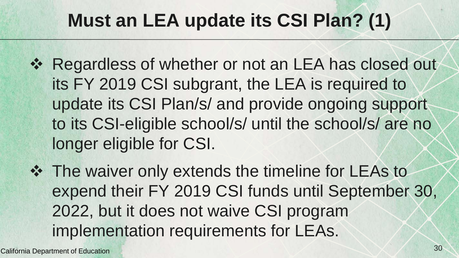#### **Must an LEA update its CSI Plan? (1)**

- ❖ Regardless of whether or not an LEA has closed out its FY 2019 CSI subgrant, the LEA is required to update its CSI Plan/s/ and provide ongoing support to its CSI-eligible school/s/ until the school/s/ are no longer eligible for CSI.
- The waiver only extends the timeline for LEAs to expend their FY 2019 CSI funds until September 30, 2022, but it does not waive CSI program implementation requirements for LEAs.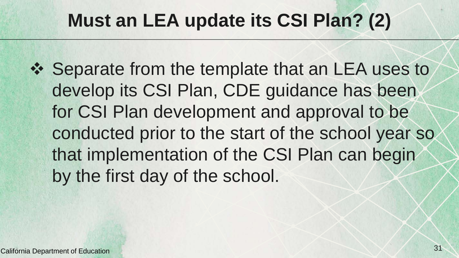#### **Must an LEA update its CSI Plan? (2)**

❖ Separate from the template that an LEA uses to develop its CSI Plan, CDE guidance has been for CSI Plan development and approval to be conducted prior to the start of the school year so that implementation of the CSI Plan can begin by the first day of the school.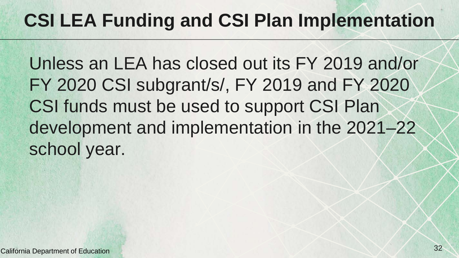#### **CSI LEA Funding and CSI Plan Implementation**

Unless an LEA has closed out its FY 2019 and/or FY 2020 CSI subgrant/s/, FY 2019 and FY 2020 CSI funds must be used to support CSI Plan development and implementation in the 2021–22 school year.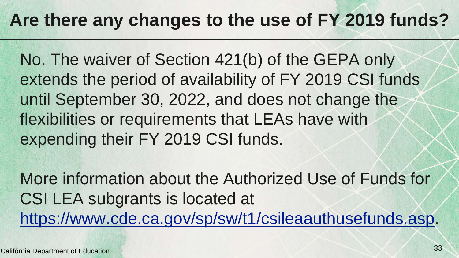#### **Are there any changes to the use of FY 2019 funds?**

No. The waiver of Section 421(b) of the GEPA only extends the period of availability of FY 2019 CSI funds until September 30, 2022, and does not change the flexibilities or requirements that LEAs have with expending their FY 2019 CSI funds.

More information about the Authorized Use of Funds for CSI LEA subgrants is located at [https://www.cde.ca.gov/sp/sw/t1/csileaauthusefunds.asp.](https://www.cde.ca.gov/sp/sw/t1/csileaauthusefunds.asp)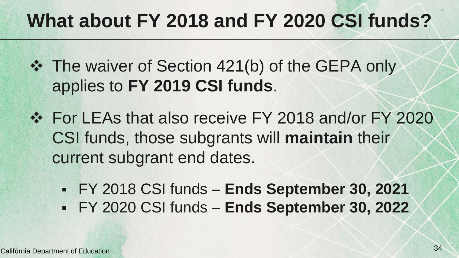## **What about FY 2018 and FY 2020 CSI funds?**

- $\div$  **The waiver of Section 421(b) of the GEPA only** applies to **FY 2019 CSI funds**.
- For LEAs that also receive FY 2018 and/or FY 2020 CSI funds, those subgrants will **maintain** their current subgrant end dates.
	- FY 2018 CSI funds **Ends September 30, 2021**
	- FY 2020 CSI funds **Ends September 30, 2022**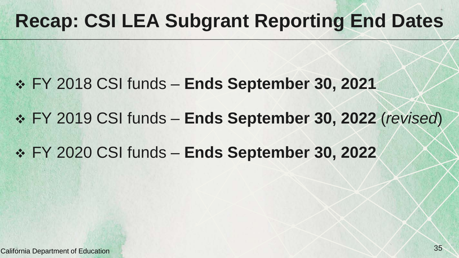## **Recap: CSI LEA Subgrant Reporting End Dates**

- FY 2018 CSI funds **Ends September 30, 2021**
- FY 2019 CSI funds **Ends September 30, 2022** (*revised*)
- FY 2020 CSI funds **Ends September 30, 2022**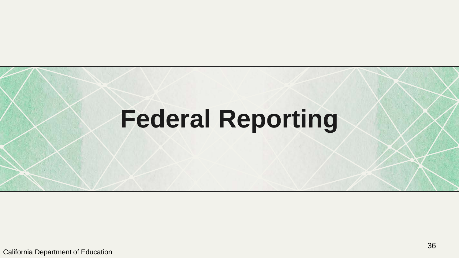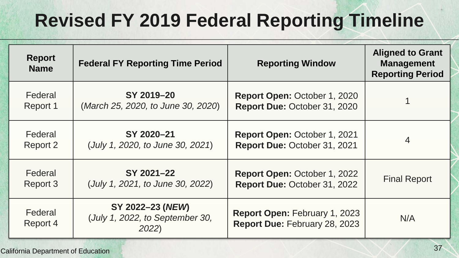#### **Revised FY 2019 Federal Reporting Timeline**

| <b>Report</b><br><b>Name</b> | <b>Federal FY Reporting Time Period</b>                      | <b>Reporting Window</b>                                               | <b>Aligned to Grant</b><br><b>Management</b><br><b>Reporting Period</b> |
|------------------------------|--------------------------------------------------------------|-----------------------------------------------------------------------|-------------------------------------------------------------------------|
| Federal                      | SY 2019-20                                                   | <b>Report Open: October 1, 2020</b>                                   |                                                                         |
| Report 1                     | (March 25, 2020, to June 30, 2020)                           | Report Due: October 31, 2020                                          |                                                                         |
| Federal                      | SY 2020-21                                                   | Report Open: October 1, 2021                                          | 4                                                                       |
| Report 2                     | (July 1, 2020, to June 30, 2021)                             | Report Due: October 31, 2021                                          |                                                                         |
| Federal                      | SY 2021-22                                                   | Report Open: October 1, 2022                                          | <b>Final Report</b>                                                     |
| Report 3                     | (July 1, 2021, to June 30, 2022)                             | Report Due: October 31, 2022                                          |                                                                         |
| Federal<br>Report 4          | SY 2022–23 (NEW)<br>(July 1, 2022, to September 30,<br>2022) | <b>Report Open: February 1, 2023</b><br>Report Due: February 28, 2023 | N/A                                                                     |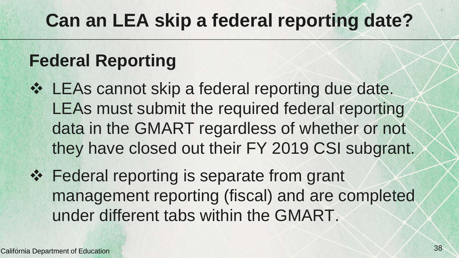#### **Can an LEA skip a federal reporting date?**

#### **Federal Reporting**

- LEAs cannot skip a federal reporting due date. LEAs must submit the required federal reporting data in the GMART regardless of whether or not they have closed out their FY 2019 CSI subgrant.
- ❖ Federal reporting is separate from grant management reporting (fiscal) and are completed under different tabs within the GMART.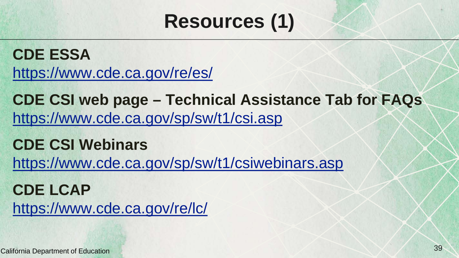#### **Resources (1)**

**CDE ESSA**  <https://www.cde.ca.gov/re/es/>

**CDE CSI web page – Technical Assistance Tab for FAQs** <https://www.cde.ca.gov/sp/sw/t1/csi.asp>

**CDE CSI Webinars** <https://www.cde.ca.gov/sp/sw/t1/csiwebinars.asp>

**CDE LCAP**  <https://www.cde.ca.gov/re/lc/>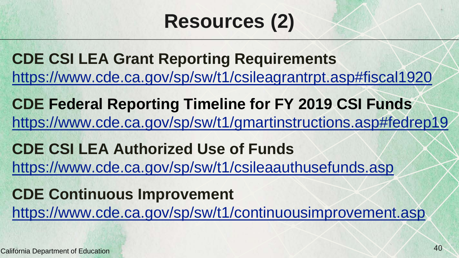## **Resources (2)**

**CDE CSI LEA Grant Reporting Requirements** <https://www.cde.ca.gov/sp/sw/t1/csileagrantrpt.asp#fiscal1920>

**CDE Federal Reporting Timeline for FY 2019 CSI Funds** <https://www.cde.ca.gov/sp/sw/t1/gmartinstructions.asp#fedrep19>

**CDE CSI LEA Authorized Use of Funds**  <https://www.cde.ca.gov/sp/sw/t1/csileaauthusefunds.asp>

**CDE Continuous Improvement**  <https://www.cde.ca.gov/sp/sw/t1/continuousimprovement.asp>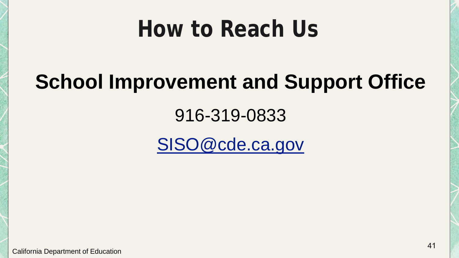## **How to Reach Us**

## **School Improvement and Support Office**

#### 916-319-0833

[SISO@cde.ca.gov](mailto:SISO@cde.ca.gov)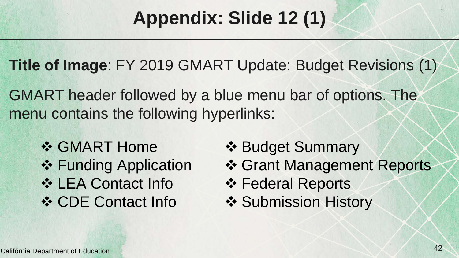#### **Appendix: Slide 12 (1)**

**Title of Image**: FY 2019 GMART Update: Budget Revisions (1)

GMART header followed by a blue menu bar of options. The menu contains the following hyperlinks:

**❖ GMART Home** ❖ Funding Application **❖ LEA Contact Info ❖ CDE Contact Info** 

- ❖ Budget Summary
- **❖ Grant Management Reports**
- **❖ Federal Reports**
- ❖ Submission History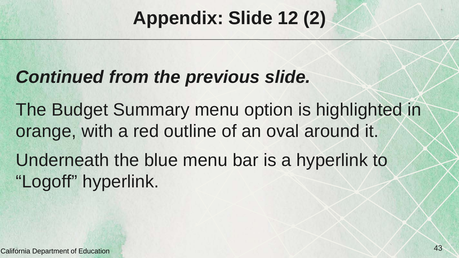#### **Appendix: Slide 12 (2)**

#### *Continued from the previous slide.*

The Budget Summary menu option is highlighted in orange, with a red outline of an oval around it.

Underneath the blue menu bar is a hyperlink to "Logoff" hyperlink.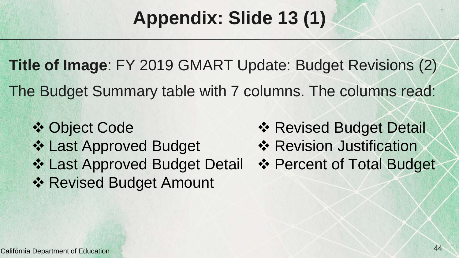#### **Appendix: Slide 13 (1)**

**Title of Image**: FY 2019 GMART Update: Budget Revisions (2) The Budget Summary table with 7 columns. The columns read:

**❖ Object Code ❖ Last Approved Budget** ❖ Last Approved Budget Detail ❖ Revised Budget Amount

- **❖ Revised Budget Detail**
- **❖ Revision Justification**
- ❖ Percent of Total Budget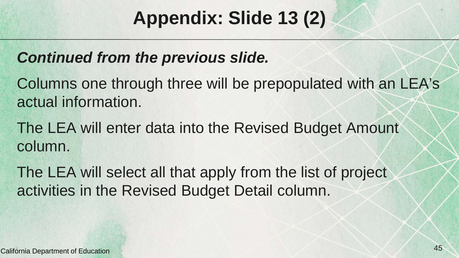#### **Appendix: Slide 13 (2)**

#### *Continued from the previous slide.*

Columns one through three will be prepopulated with an LEA's actual information.

The LEA will enter data into the Revised Budget Amount column.

The LEA will select all that apply from the list of project activities in the Revised Budget Detail column.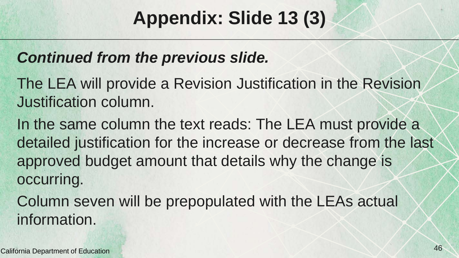#### **Appendix: Slide 13 (3)**

#### *Continued from the previous slide.*

- The LEA will provide a Revision Justification in the Revision Justification column.
- In the same column the text reads: The LEA must provide a detailed justification for the increase or decrease from the last approved budget amount that details why the change is occurring.
- Column seven will be prepopulated with the LEAs actual information.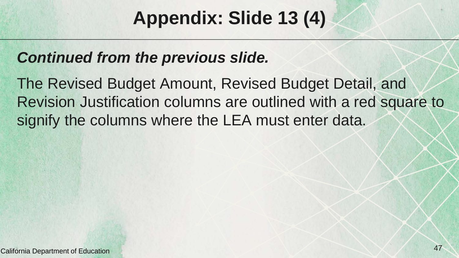#### **Appendix: Slide 13 (4)**

#### *Continued from the previous slide.*

The Revised Budget Amount, Revised Budget Detail, and Revision Justification columns are outlined with a red square to signify the columns where the LEA must enter data.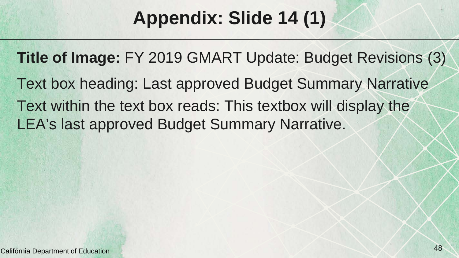#### **Appendix: Slide 14 (1)**

**Title of Image:** FY 2019 GMART Update: Budget Revisions (3) Text box heading: Last approved Budget Summary Narrative Text within the text box reads: This textbox will display the LEA's last approved Budget Summary Narrative.